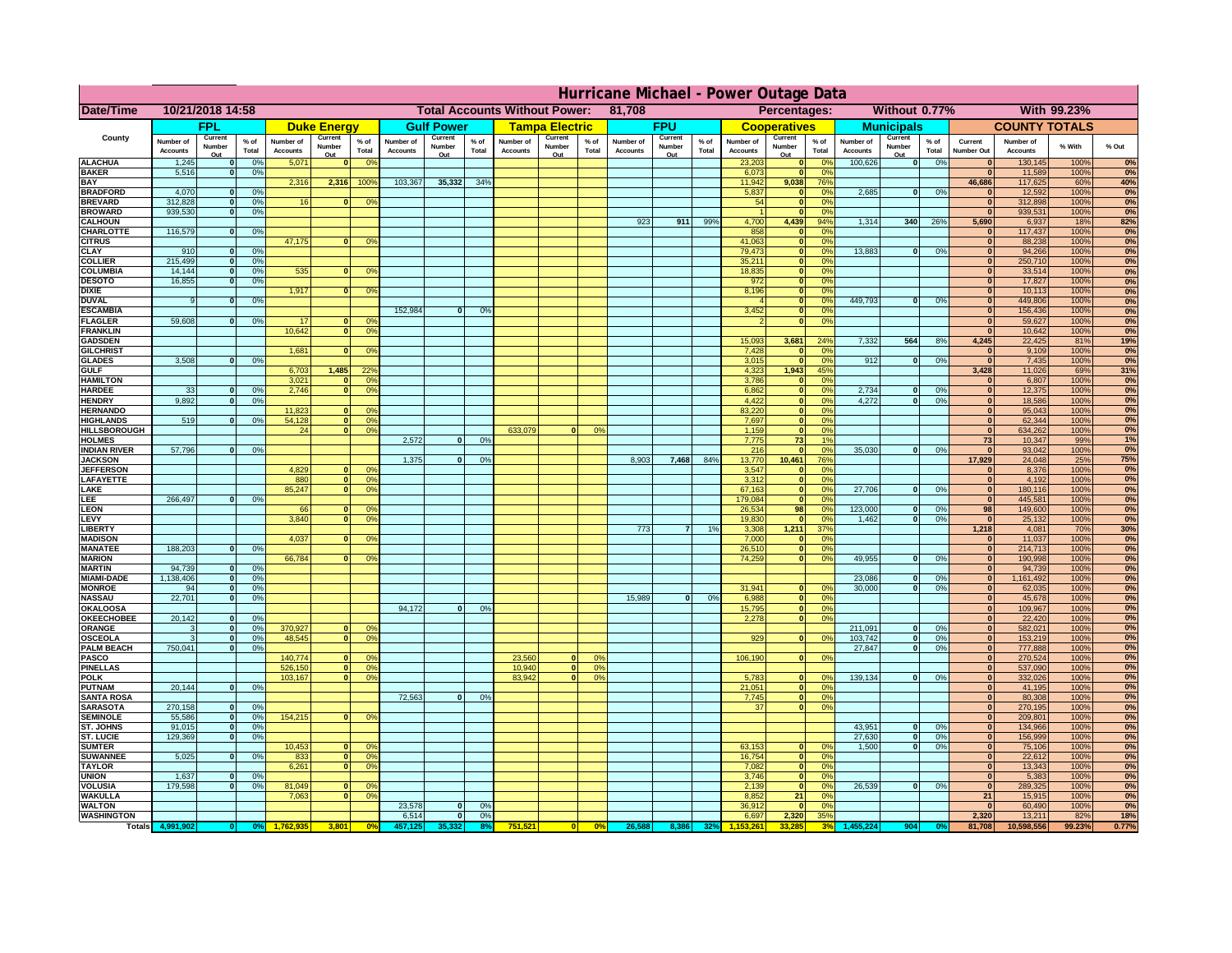|                                         | Hurricane Michael - Power Outage Data |                             |                       |                              |                     |                                                |                              |                       |                 |                              |                                                     |                     |                              |                   |               |                              |                   |                                  |                              |                         |                 |                              |                              |              |           |
|-----------------------------------------|---------------------------------------|-----------------------------|-----------------------|------------------------------|---------------------|------------------------------------------------|------------------------------|-----------------------|-----------------|------------------------------|-----------------------------------------------------|---------------------|------------------------------|-------------------|---------------|------------------------------|-------------------|----------------------------------|------------------------------|-------------------------|-----------------|------------------------------|------------------------------|--------------|-----------|
| Date/Time                               | 10/21/2018 14:58                      |                             |                       |                              |                     | <b>Total Accounts Without Power:</b><br>81,708 |                              |                       |                 |                              | Without 0.77%<br><b>With 99.23%</b><br>Percentages: |                     |                              |                   |               |                              |                   |                                  |                              |                         |                 |                              |                              |              |           |
|                                         | FPL                                   |                             | <b>Duke Energy</b>    |                              |                     | <b>Gulf Power</b>                              |                              | <b>Tampa Electric</b> |                 | <b>FPU</b>                   |                                                     | <b>Cooperatives</b> |                              | <b>Municipals</b> |               | <b>COUNTY TOTALS</b>         |                   |                                  |                              |                         |                 |                              |                              |              |           |
| County                                  | Number of<br><b>Accounts</b>          | Current<br>Number           | $%$ of<br>Total       | Number of<br><b>Accounts</b> | Current<br>Number   | $%$ of<br>Total                                | Number of<br><b>Accounts</b> | Current<br>Number     | $%$ of<br>Total | Number of<br><b>Accounts</b> | Current<br>Number                                   | % of<br>Total       | Number of<br><b>Accounts</b> | Current<br>Number | % of<br>Total | Number of<br><b>Accounts</b> | Current<br>Number | $%$ of<br>Total                  | Number of<br><b>Accounts</b> | Current<br>Number       | $%$ of<br>Total | Current<br><b>Number Out</b> | Number of<br><b>Accounts</b> | % With       | % Out     |
| <b>ALACHUA</b>                          | 1,245                                 | Out<br>$\mathbf{0}$         | 0%                    | 5,071                        | Out<br>$\mathbf{0}$ | 0 <sup>9</sup>                                 |                              | Out                   |                 |                              | Out                                                 |                     |                              | Out               |               | 23,203                       | Out<br> 0         | 0 <sup>9</sup>                   | 100,626                      | Out<br> 0               | 0%              | $\bf{0}$                     | 130,145                      | 100%         | 0%        |
| <b>BAKER</b>                            | 5,516                                 | 0                           | 0%                    |                              |                     |                                                |                              |                       |                 |                              |                                                     |                     |                              |                   |               | 6,073                        | 0                 | 0%                               |                              |                         |                 | $\overline{\mathbf{0}}$      | 11,589                       | 100%         | 0%        |
| <b>BAY</b><br><b>BRADFORD</b>           | 4,070                                 | $\mathbf{0}$                | 0%                    | 2,316                        | 2,316               | 100%                                           | 103,367                      | 35,332                | 34%             |                              |                                                     |                     |                              |                   |               | 11,942<br>5,837              | 9,038<br> 0       | 76%<br>0%                        | 2,685                        | 0                       | 0%              | 46,686<br>$\bf{0}$           | 117,625<br>12,592            | 60%<br>100%  | 40%<br>0% |
| <b>BREVARD</b>                          | 312,828                               | 0                           | 0%                    | 16                           | $\mathbf{0}$        | 0 <sup>o</sup>                                 |                              |                       |                 |                              |                                                     |                     |                              |                   |               | 54                           | 0                 | 0%                               |                              |                         |                 | $\mathbf{0}$                 | 312,898                      | 100%         | 0%        |
| <b>BROWARD</b>                          | 939.530                               | 0                           | 0%                    |                              |                     |                                                |                              |                       |                 |                              |                                                     |                     |                              |                   |               |                              | 0                 | 0%                               |                              |                         |                 | $\bf{0}$                     | 939,531                      | 100%         | 0%        |
| <b>CALHOUN</b>                          |                                       |                             |                       |                              |                     |                                                |                              |                       |                 |                              |                                                     |                     | 923                          | 911               | 99%           | 4,700                        | 4,439             | 94%                              | 1,314                        | 340                     | 26%             | 5,690                        | 6,937                        | 18%          | 82%       |
| CHARLOTTE<br><b>CITRUS</b>              | 116,579                               | 0                           | 0%                    | 47,175                       | $\mathbf{0}$        | 0 <sup>o</sup>                                 |                              |                       |                 |                              |                                                     |                     |                              |                   |               | 858<br>41,063                | 0 <br> 0          | 0 <sup>9</sup><br>0 <sup>9</sup> |                              |                         |                 | $\bf{0}$<br>$\bf{0}$         | 117,437<br>88,238            | 100%<br>100% | 0%<br>0%  |
| <b>CLAY</b>                             | 910                                   | $\mathbf{0}$                | 0%                    |                              |                     |                                                |                              |                       |                 |                              |                                                     |                     |                              |                   |               | 79,473                       | 0                 | 0%                               | 13,883                       | $\mathbf{0}$            | 0%              | $\bf{0}$                     | 94,266                       | 100%         | 0%        |
| <b>COLLIER</b>                          | 215,499                               | $\mathbf{0}$                | 0 <sup>9</sup>        |                              |                     |                                                |                              |                       |                 |                              |                                                     |                     |                              |                   |               | 35,211                       | 0                 | 0%                               |                              |                         |                 | $\bf{0}$                     | 250,710                      | 100%         | 0%        |
| <b>COLUMBIA</b><br><b>DESOTO</b>        | 14,144<br>16,855                      | $\mathbf 0$<br>$\mathbf{0}$ | 0%<br>0%              | 535                          | $\mathbf{0}$        | 0 <sup>9</sup>                                 |                              |                       |                 |                              |                                                     |                     |                              |                   |               | 18,835<br>972                | 0 <br> 0          | 0%<br>0%                         |                              |                         |                 | $\bf{0}$<br>$\bf{0}$         | 33,514<br>17,827             | 100%<br>100% | 0%<br>0%  |
| <b>DIXIE</b>                            |                                       |                             |                       | 1,917                        | $\Omega$            | 0 <sup>9</sup>                                 |                              |                       |                 |                              |                                                     |                     |                              |                   |               | 8,196                        | 0                 | 0%                               |                              |                         |                 | $\Omega$                     | 10,113                       | 100%         | 0%        |
| <b>DUVAL</b>                            | 9                                     | $\Omega$                    | 0%                    |                              |                     |                                                |                              |                       |                 |                              |                                                     |                     |                              |                   |               |                              | 0                 | 0%                               | 449.793                      | $\overline{\mathbf{0}}$ | 0%              | $\Omega$                     | 449,806                      | 100%         | 0%        |
| <b>ESCAMBIA</b>                         |                                       |                             |                       |                              |                     |                                                | 152,984                      | $\mathbf{0}$          | 0 <sup>o</sup>  |                              |                                                     |                     |                              |                   |               | 3,452                        | 0                 | 0%                               |                              |                         |                 | $\Omega$                     | 156,436                      | 100%         | 0%        |
| <b>FLAGLER</b><br><b>FRANKLIN</b>       | 59,608                                | $\overline{0}$              | 0%                    | 17<br>10,642                 | $\bf{0}$<br> 0      | 0 <sup>o</sup><br>0 <sup>9</sup>               |                              |                       |                 |                              |                                                     |                     |                              |                   |               |                              | 0                 | 0%                               |                              |                         |                 | $\mathbf{0}$<br>$\Omega$     | 59,627<br>10,642             | 100%<br>100% | 0%<br>0%  |
| <b>GADSDEN</b>                          |                                       |                             |                       |                              |                     |                                                |                              |                       |                 |                              |                                                     |                     |                              |                   |               | 15,093                       | 3,681             | 24%                              | 7,332                        | 564                     | 8%              | 4,245                        | 22,425                       | 81%          | 19%       |
| <b>GILCHRIST</b>                        |                                       |                             |                       | 1,681                        | $\mathbf{0}$        | 0 <sup>9</sup>                                 |                              |                       |                 |                              |                                                     |                     |                              |                   |               | 7,428                        | 0                 | 0%                               |                              |                         |                 | $\mathbf{0}$                 | 9,109                        | 100%         | 0%        |
| <b>GLADES</b>                           | 3,508                                 |                             | 0%<br> 0              |                              |                     |                                                |                              |                       |                 |                              |                                                     |                     |                              |                   |               | 3,015                        | 0                 | 0%                               | 912                          | $\overline{0}$          | 0%              | 0                            | 7,435                        | 100%         | 0%        |
| <b>GULF</b><br><b>HAMILTON</b>          |                                       |                             |                       | 6,703<br>3,021               | 1,485<br>$\Omega$   | 22 <sup>o</sup><br>0 <sup>9</sup>              |                              |                       |                 |                              |                                                     |                     |                              |                   |               | 4,323<br>3,786               | 1,943<br> 0       | 45%<br>0%                        |                              |                         |                 | 3,428<br>$\Omega$            | 11,026<br>6,807              | 69%<br>100%  | 31%<br>0% |
| <b>HARDEE</b>                           | 33                                    | $\overline{0}$              | 0%                    | 2.746                        |                     | $\overline{0}$<br>0 <sup>9</sup>               |                              |                       |                 |                              |                                                     |                     |                              |                   |               | 6.862                        | $\overline{0}$    | 0%                               | 2.734                        | $\mathbf{0}$            | 0%              | 0                            | 12,375                       | 100%         | 0%        |
| <b>HENDRY</b>                           | 9,892                                 | $\Omega$                    | 0%                    |                              |                     |                                                |                              |                       |                 |                              |                                                     |                     |                              |                   |               | 4,422                        | 0                 | 0%                               | 4,272                        | $\Omega$                | 0%              | 0                            | 18,586                       | 100%         | 0%        |
| <b>HERNANDO</b>                         |                                       |                             |                       | 11,823                       | $\mathbf{0}$        | 0 <sup>9</sup>                                 |                              |                       |                 |                              |                                                     |                     |                              |                   |               | 83,220                       | 0                 | 0%                               |                              |                         |                 | 0                            | 95,043                       | 100%         | 0%        |
| <b>HIGHLANDS</b><br><b>HILLSBOROUGH</b> | 519                                   | $\mathbf{0}$                | 0 <sup>9</sup>        | 54,128<br>24                 |                     | 0 <br>0 <sup>9</sup><br> 0 <br>0 <sup>9</sup>  |                              |                       |                 | 633,079                      |                                                     | 0%                  |                              |                   |               | 7,697<br>1,159               | 0 <br> 0          | 0%<br>0%                         |                              |                         |                 | $\mathbf{0}$<br> 0           | 62,344<br>634,262            | 100%<br>100% | 0%<br>0%  |
| <b>HOLMES</b>                           |                                       |                             |                       |                              |                     |                                                | 2.572                        | $\mathbf{0}$          | 0%              |                              |                                                     |                     |                              |                   |               | 7.775                        | 73                | 1%                               |                              |                         |                 | 73                           | 10,347                       | 99%          | 1%        |
| <b>INDIAN RIVER</b>                     | 57,796                                | $\mathbf{0}$                | 0%                    |                              |                     |                                                |                              |                       |                 |                              |                                                     |                     |                              |                   |               | 216                          | 0                 | 0%                               | 35,030                       | $\mathbf{0}$            | 0%              | $\mathbf{0}$                 | 93,042                       | 100%         | 0%        |
| <b>JACKSON</b>                          |                                       |                             |                       |                              |                     |                                                | 1.375                        | $\mathbf{0}$          | 0 <sup>9</sup>  |                              |                                                     |                     | 8.903                        | 7.468             | 84%           | 13,770                       | 10.461            | 76%                              |                              |                         |                 | 17.929                       | 24,048                       | 25%          | 75%       |
| <b>JEFFERSON</b><br>LAFAYETTE           |                                       |                             |                       | 4.829<br>880                 |                     | n l<br>0 <sup>9</sup><br> 0 <br>0 <sup>9</sup> |                              |                       |                 |                              |                                                     |                     |                              |                   |               | 3.547<br>3.312               | 0 <br> 0          | 0%<br>0%                         |                              |                         |                 | $\mathbf{0}$<br> 0           | 8.376<br>4.192               | 100%<br>100% | 0%<br>0%  |
| LAKE                                    |                                       |                             |                       | 85,247                       |                     | $\mathbf{0}$<br>0 <sup>9</sup>                 |                              |                       |                 |                              |                                                     |                     |                              |                   |               | 67,163                       | 0                 | 0%                               | 27,706                       | $\Omega$                | 0%              | 0                            | 180,116                      | 100%         | 0%        |
| EE.                                     | 266,497                               | 0                           | 0%                    |                              |                     |                                                |                              |                       |                 |                              |                                                     |                     |                              |                   |               | 179,084                      | 0                 | 0%                               |                              |                         |                 | 0                            | 445,581                      | 100%         | 0%        |
| LEON                                    |                                       |                             |                       | 66                           |                     | $\mathbf{0}$<br>0 <sup>o</sup>                 |                              |                       |                 |                              |                                                     |                     |                              |                   |               | 26,534                       | 98                | 0%                               | 123,000                      | $\mathbf{0}$            | 0%              | 98                           | 149,600                      | 100%         | 0%        |
| LEVY<br><b>LIBERTY</b>                  |                                       |                             |                       | 3,840                        | $\Omega$            | 0 <sup>9</sup>                                 |                              |                       |                 |                              |                                                     |                     | 773                          | $\overline{7}$    | 1%            | 19,830<br>3,308              | 0 <br>1,211       | 0%<br>37%                        | 1,462                        | -ol                     | 0%              | 0 <br>1,218                  | 25,132<br>4,081              | 100%<br>70%  | 0%<br>30% |
| <b>MADISON</b>                          |                                       |                             |                       | 4,037                        | $\Omega$            | 0 <sup>9</sup>                                 |                              |                       |                 |                              |                                                     |                     |                              |                   |               | 7,000                        | 0                 | 0%                               |                              |                         |                 | 0                            | 11,037                       | 100%         | 0%        |
| <b>MANATEE</b>                          | 188,203                               |                             | 0 <br>0%              |                              |                     |                                                |                              |                       |                 |                              |                                                     |                     |                              |                   |               | 26,510                       | 0                 | 0%                               |                              |                         |                 | 0                            | 214,713                      | 100%         | 0%        |
| <b>MARION</b>                           |                                       |                             |                       | 66,784                       |                     | 0 <sup>9</sup><br>0                            |                              |                       |                 |                              |                                                     |                     |                              |                   |               | 74,259                       |                   | 0 <br>0%                         | 49,955                       | nl                      | 0%              | 0                            | 190,998                      | 100%         | 0%        |
| <b>MARTIN</b><br><b>MIAMI-DADE</b>      | 94,739<br>1,138,406                   | 0                           | 0%<br> 0 <br>0%       |                              |                     |                                                |                              |                       |                 |                              |                                                     |                     |                              |                   |               |                              |                   |                                  | 23,086                       | $\mathbf{0}$            | 0%              | 0 <br> 0                     | 94,739<br>1,161,492          | 100%<br>100% | 0%<br>0%  |
| <b>MONROE</b>                           | 94                                    |                             | 0 <br>0%              |                              |                     |                                                |                              |                       |                 |                              |                                                     |                     |                              |                   |               | 31,941                       | $\overline{0}$    | 0 <sup>9</sup>                   | 30,000                       | 0                       | 0%              | 0                            | 62,035                       | 100%         | 0%        |
| <b>NASSAU</b>                           | 22,701                                |                             | 0 <br>0%              |                              |                     |                                                |                              |                       |                 |                              |                                                     |                     | 15,989                       | 0                 | 0%            | 6,988                        |                   | 0 <br>0%                         |                              |                         |                 | 0                            | 45,678                       | 100%         | 0%        |
| <b>OKALOOSA</b>                         |                                       |                             |                       |                              |                     |                                                | 94,172                       | $\Omega$              | 0%              |                              |                                                     |                     |                              |                   |               | 15,795                       |                   | 0 <br>0%                         |                              |                         |                 | 0                            | 109,967                      | 100%         | 0%        |
| <b>OKEECHOBEE</b><br>ORANGE             | 20,142<br>3                           | 0 <br> 0                    | 0%<br>0%              | 370,927                      |                     | 0 <br>0 <sup>o</sup>                           |                              |                       |                 |                              |                                                     |                     |                              |                   |               | 2,278                        |                   | 0 <br>0%                         | 211,091                      | $\overline{\mathbf{0}}$ | 0%              | 0 <br> 0                     | 22,420<br>582,021            | 100%<br>100% | 0%<br>0%  |
| <b>OSCEOLA</b>                          | 3                                     |                             | 0%<br> 0              | 48,545                       |                     | 0 <sup>9</sup><br> 0                           |                              |                       |                 |                              |                                                     |                     |                              |                   |               | 929                          |                   | 0 <br>0%                         | 103,742                      | 0                       | 0%              | 0                            | 153,219                      | 100%         | 0%        |
| <b>PALM BEACH</b>                       | 750,041                               |                             | 0%<br> 0              |                              |                     |                                                |                              |                       |                 |                              |                                                     |                     |                              |                   |               |                              |                   |                                  | 27,847                       | $\overline{0}$          | 0%              | 0                            | 777,888                      | 100%         | 0%        |
| PASCO<br><b>PINELLAS</b>                |                                       |                             |                       | 140,774                      |                     | $\Omega$<br>$^{\circ}$<br>0 <sup>9</sup>       |                              |                       |                 | 23,560                       | $\Omega$<br> 0                                      | $^{\circ}$<br>0%    |                              |                   |               | 106,190                      |                   | 0 <br>0%                         |                              |                         |                 | 0 <br>$\Omega$               | 270,524                      | 100%         | 0%        |
| <b>POLK</b>                             |                                       |                             |                       | 526,150<br>103,167           |                     | 0 <br>0 <sup>9</sup><br> 0                     |                              |                       |                 | 10,940<br>83,942             | $\mathbf{a}$                                        | 0%                  |                              |                   |               | 5,783                        |                   | 0 <br>$\Omega$                   | 139,134                      | 0                       | 0%              | 0                            | 537,090<br>332,026           | 100%<br>100% | 0%<br>0%  |
| <b>PUTNAM</b>                           | 20,144                                | 0                           | 0%                    |                              |                     |                                                |                              |                       |                 |                              |                                                     |                     |                              |                   |               | 21,051                       | $\ddot{\text{o}}$ | 0%                               |                              |                         |                 | $\bf{0}$                     | 41,195                       | 100%         | 0%        |
| <b>SANTA ROSA</b>                       |                                       |                             |                       |                              |                     |                                                | 72,563                       | 0                     | 0%              |                              |                                                     |                     |                              |                   |               | 7,745                        |                   | 0 <br>0%                         |                              |                         |                 | $\mathbf{0}$                 | 80,308                       | 100%         | 0%        |
| <b>SARASOTA</b><br><b>SEMINOLE</b>      | 270,158<br>55,586                     |                             | 0 <br>0%<br> 0 <br>0% | 154,215                      |                     | $\mathbf{0}$<br>0 <sup>9</sup>                 |                              |                       |                 |                              |                                                     |                     |                              |                   |               | 37                           |                   | 0 <br>0%                         |                              |                         |                 | $\mathbf{0}$<br>$\mathbf{0}$ | 270,195<br>209,801           | 100%<br>100% | 0%<br>0%  |
| <b>ST. JOHNS</b>                        | 91,015                                |                             | 0 <br>0%              |                              |                     |                                                |                              |                       |                 |                              |                                                     |                     |                              |                   |               |                              |                   |                                  | 43,951                       | -ol                     | 0%              | 0                            | 134,966                      | 100%         | 0%        |
| <b>ST. LUCIE</b>                        | 129.369                               | $\mathbf{0}$                | 0%                    |                              |                     |                                                |                              |                       |                 |                              |                                                     |                     |                              |                   |               |                              |                   |                                  | 27.630                       | - O I                   | 0%              | 0                            | 156,999                      | 100%         | 0%        |
| <b>SUMTER</b>                           |                                       |                             |                       | 10,453                       |                     | $\overline{0}$<br>0 <sup>9</sup>               |                              |                       |                 |                              |                                                     |                     |                              |                   |               | 63,153                       | 0                 | 0%                               | 1.500                        | 0                       | 0%              | 0                            | 75,106                       | 100%         | 0%        |
| <b>SUWANNEE</b><br><b>TAYLOR</b>        | 5,025                                 | 0                           | 0%                    | 833<br>6,261                 | 0                   | 0 <sup>o</sup><br> 0 <br>0 <sup>9</sup>        |                              |                       |                 |                              |                                                     |                     |                              |                   |               | 16,754<br>7,082              | 0 <br> 0          | 0%<br>0%                         |                              |                         |                 | $\mathbf{0}$<br>$\bf{0}$     | 22,612<br>13,343             | 100%<br>100% | 0%<br>0%  |
| <b>UNION</b>                            | 1,637                                 | $\mathbf{0}$                | 0%                    |                              |                     |                                                |                              |                       |                 |                              |                                                     |                     |                              |                   |               | 3,746                        | 0                 | 0%                               |                              |                         |                 | 0                            | 5,383                        | 100%         | 0%        |
| <b>VOLUSIA</b>                          | 179,598                               | 0                           | 0%                    | 81,049                       | $\mathbf{0}$        | $\mathbf{0}$                                   |                              |                       |                 |                              |                                                     |                     |                              |                   |               | 2,139                        | 0                 | 0%                               | 26,539                       | 0                       | 0%              | $\mathbf{0}$                 | 289,325                      | 100%         | 0%        |
| <b>WAKULLA</b>                          |                                       |                             |                       | 7,063                        | $\mathbf{0}$        | 0 <sup>9</sup>                                 |                              |                       |                 |                              |                                                     |                     |                              |                   |               | 8,852                        | 21                | 0%                               |                              |                         |                 | 21                           | 15,915                       | 100%         | 0%        |
| <b>WALTON</b><br><b>WASHINGTON</b>      |                                       |                             |                       |                              |                     |                                                | 23,578<br>6,514              | $\mathbf{0}$<br> 0    | 0%<br>0%        |                              |                                                     |                     |                              |                   |               | 36,912<br>6,697              | 0 <br>2,320       | 0%<br>35%                        |                              |                         |                 | $\mathbf{0}$<br>2,320        | 60,490<br>13,211             | 100%<br>82%  | 0%<br>18% |
| <b>Totals</b>                           |                                       |                             |                       |                              | 3,801               | 0 <sup>6</sup>                                 |                              |                       |                 | 751,521                      | 0                                                   | 0%                  | 26,588                       | 8,386             | 32%           |                              |                   |                                  |                              | 904                     |                 | 81,708                       | 10,598,556                   | 99.23%       | 0.77%     |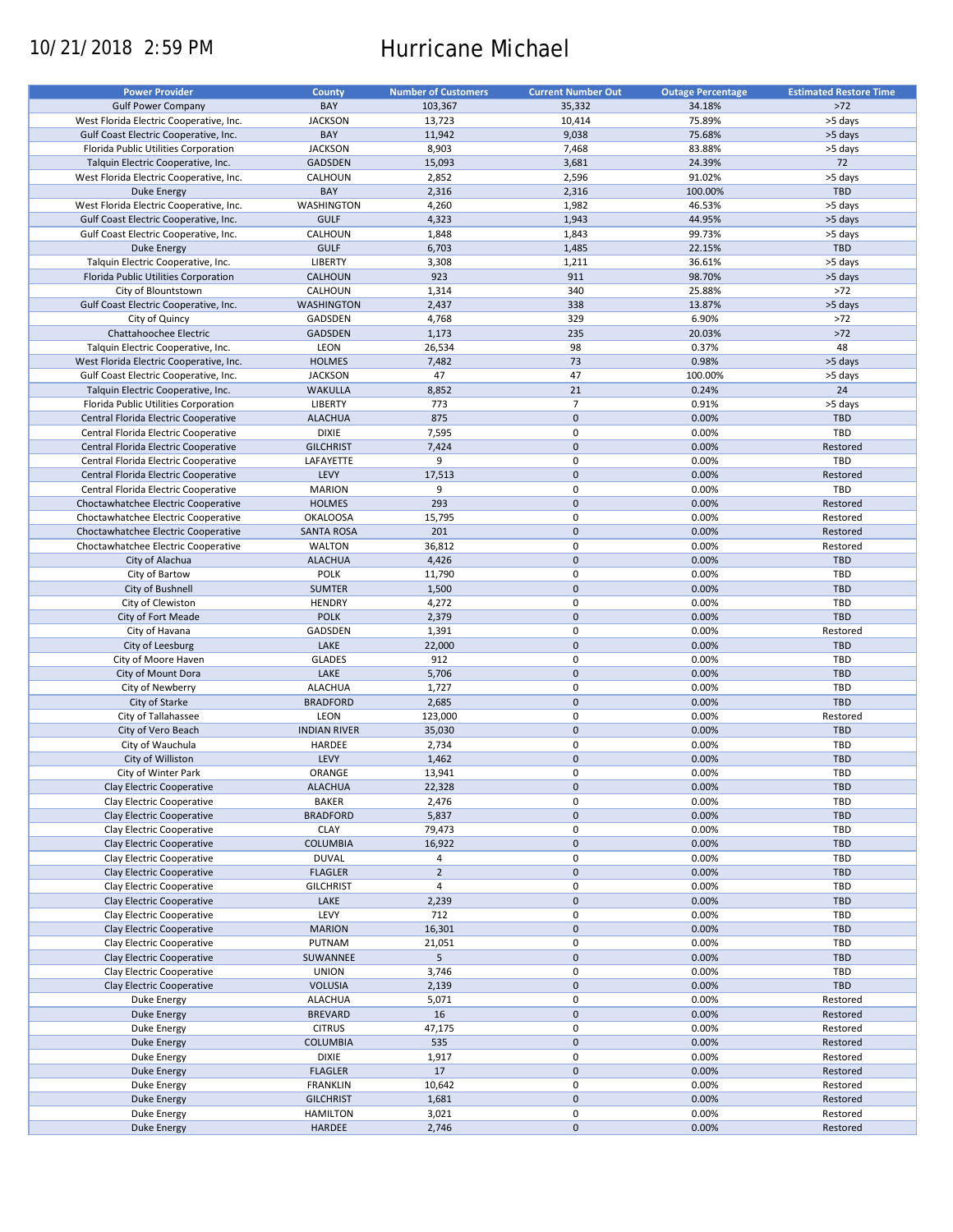# 10/21/2018 2:59 PM Hurricane Michael

| <b>Power Provider</b>                   | <b>County</b>       | <b>Number of Customers</b> | <b>Current Number Out</b> | <b>Outage Percentage</b> | <b>Estimated Restore Time</b> |
|-----------------------------------------|---------------------|----------------------------|---------------------------|--------------------------|-------------------------------|
|                                         |                     |                            |                           |                          |                               |
| <b>Gulf Power Company</b>               | BAY                 | 103,367                    | 35,332                    | 34.18%                   | $>72$                         |
| West Florida Electric Cooperative, Inc. | <b>JACKSON</b>      | 13,723                     | 10,414                    | 75.89%                   | >5 days                       |
| Gulf Coast Electric Cooperative, Inc.   | BAY                 | 11,942                     | 9,038                     | 75.68%                   | >5 days                       |
| Florida Public Utilities Corporation    | <b>JACKSON</b>      | 8,903                      | 7,468                     | 83.88%                   | >5 days                       |
| Talquin Electric Cooperative, Inc.      | <b>GADSDEN</b>      | 15,093                     | 3,681                     | 24.39%                   | 72                            |
| West Florida Electric Cooperative, Inc. | CALHOUN             | 2,852                      | 2,596                     | 91.02%                   | >5 days                       |
| <b>Duke Energy</b>                      | BAY                 | 2,316                      | 2,316                     | 100.00%                  | TBD                           |
|                                         |                     |                            |                           |                          |                               |
| West Florida Electric Cooperative, Inc. | WASHINGTON          | 4,260                      | 1,982                     | 46.53%                   | >5 days                       |
| Gulf Coast Electric Cooperative, Inc.   | <b>GULF</b>         | 4,323                      | 1,943                     | 44.95%                   | >5 days                       |
| Gulf Coast Electric Cooperative, Inc.   | CALHOUN             | 1,848                      | 1,843                     | 99.73%                   | >5 days                       |
| <b>Duke Energy</b>                      | <b>GULF</b>         | 6,703                      | 1,485                     | 22.15%                   | <b>TBD</b>                    |
| Talquin Electric Cooperative, Inc.      | <b>LIBERTY</b>      | 3,308                      | 1,211                     | 36.61%                   | >5 days                       |
| Florida Public Utilities Corporation    | CALHOUN             | 923                        | 911                       | 98.70%                   | >5 days                       |
| City of Blountstown                     | CALHOUN             | 1,314                      | 340                       | 25.88%                   | $>72$                         |
|                                         | <b>WASHINGTON</b>   |                            |                           |                          |                               |
| Gulf Coast Electric Cooperative, Inc.   |                     | 2,437                      | 338                       | 13.87%                   | >5 days                       |
| City of Quincy                          | GADSDEN             | 4,768                      | 329                       | 6.90%                    | $>72$                         |
| Chattahoochee Electric                  | GADSDEN             | 1,173                      | 235                       | 20.03%                   | $>72$                         |
| Talquin Electric Cooperative, Inc.      | LEON                | 26,534                     | 98                        | 0.37%                    | 48                            |
| West Florida Electric Cooperative, Inc. | <b>HOLMES</b>       | 7,482                      | 73                        | 0.98%                    | >5 days                       |
| Gulf Coast Electric Cooperative, Inc.   | <b>JACKSON</b>      | 47                         | 47                        | 100.00%                  | >5 days                       |
| Talquin Electric Cooperative, Inc.      | <b>WAKULLA</b>      | 8,852                      | 21                        | 0.24%                    | 24                            |
|                                         |                     |                            | $\overline{7}$            |                          |                               |
| Florida Public Utilities Corporation    | LIBERTY             | 773                        |                           | 0.91%                    | >5 days                       |
| Central Florida Electric Cooperative    | <b>ALACHUA</b>      | 875                        | $\pmb{0}$                 | 0.00%                    | <b>TBD</b>                    |
| Central Florida Electric Cooperative    | <b>DIXIE</b>        | 7,595                      | $\mathbf 0$               | 0.00%                    | TBD                           |
| Central Florida Electric Cooperative    | <b>GILCHRIST</b>    | 7,424                      | $\mathbf 0$               | 0.00%                    | Restored                      |
| Central Florida Electric Cooperative    | LAFAYETTE           | 9                          | $\mathbf 0$               | 0.00%                    | TBD                           |
| Central Florida Electric Cooperative    | LEVY                | 17,513                     | $\pmb{0}$                 | 0.00%                    | Restored                      |
| Central Florida Electric Cooperative    | <b>MARION</b>       | 9                          | 0                         | 0.00%                    | TBD                           |
|                                         |                     |                            |                           |                          |                               |
| Choctawhatchee Electric Cooperative     | <b>HOLMES</b>       | 293                        | $\pmb{0}$                 | 0.00%                    | Restored                      |
| Choctawhatchee Electric Cooperative     | <b>OKALOOSA</b>     | 15,795                     | 0                         | 0.00%                    | Restored                      |
| Choctawhatchee Electric Cooperative     | <b>SANTA ROSA</b>   | 201                        | $\mathbf 0$               | 0.00%                    | Restored                      |
| Choctawhatchee Electric Cooperative     | <b>WALTON</b>       | 36,812                     | 0                         | 0.00%                    | Restored                      |
| City of Alachua                         | <b>ALACHUA</b>      | 4,426                      | $\mathbf 0$               | 0.00%                    | <b>TBD</b>                    |
| City of Bartow                          | <b>POLK</b>         | 11,790                     | 0                         | 0.00%                    | TBD                           |
| City of Bushnell                        | <b>SUMTER</b>       | 1,500                      | $\mathbf 0$               | 0.00%                    | <b>TBD</b>                    |
|                                         | <b>HENDRY</b>       |                            | 0                         | 0.00%                    | TBD                           |
| City of Clewiston                       |                     | 4,272                      |                           |                          |                               |
| City of Fort Meade                      | <b>POLK</b>         | 2,379                      | $\mathbf 0$               | 0.00%                    | TBD                           |
| City of Havana                          | GADSDEN             | 1,391                      | $\pmb{0}$                 | 0.00%                    | Restored                      |
| City of Leesburg                        | LAKE                | 22,000                     | $\mathbf 0$               | 0.00%                    | <b>TBD</b>                    |
| City of Moore Haven                     | <b>GLADES</b>       | 912                        | $\pmb{0}$                 | 0.00%                    | TBD                           |
| City of Mount Dora                      | LAKE                | 5,706                      | $\mathbf 0$               | 0.00%                    | TBD                           |
| City of Newberry                        | <b>ALACHUA</b>      | 1,727                      | 0                         | 0.00%                    | TBD                           |
| City of Starke                          | <b>BRADFORD</b>     | 2,685                      | $\pmb{0}$                 | 0.00%                    | TBD                           |
|                                         |                     |                            |                           |                          |                               |
| City of Tallahassee                     | LEON                | 123,000                    | 0                         | 0.00%                    | Restored                      |
| City of Vero Beach                      | <b>INDIAN RIVER</b> | 35,030                     | $\pmb{0}$                 | 0.00%                    | <b>TBD</b>                    |
| City of Wauchula                        | HARDEE              | 2,734                      | 0                         | 0.00%                    | <b>TBD</b>                    |
| City of Williston                       | LEVY                | 1,462                      | $\pmb{0}$                 | 0.00%                    | <b>TBD</b>                    |
| City of Winter Park                     | ORANGE              | 13,941                     | $\mathbf 0$               | 0.00%                    | TBD                           |
| Clay Electric Cooperative               | <b>ALACHUA</b>      | 22,328                     | $\pmb{0}$                 | 0.00%                    | TBD                           |
| Clay Electric Cooperative               |                     |                            |                           |                          | TBD                           |
|                                         | <b>BAKER</b>        | 2,476                      | 0                         | 0.00%                    |                               |
| Clay Electric Cooperative               | <b>BRADFORD</b>     | 5,837                      | $\pmb{0}$                 | 0.00%                    | <b>TBD</b>                    |
| Clay Electric Cooperative               | <b>CLAY</b>         | 79,473                     | 0                         | 0.00%                    | TBD                           |
| Clay Electric Cooperative               | <b>COLUMBIA</b>     | 16,922                     | $\pmb{0}$                 | 0.00%                    | TBD                           |
| Clay Electric Cooperative               | <b>DUVAL</b>        | 4                          | 0                         | 0.00%                    | TBD                           |
| Clay Electric Cooperative               | <b>FLAGLER</b>      | $\overline{2}$             | $\pmb{0}$                 | 0.00%                    | TBD                           |
| Clay Electric Cooperative               | <b>GILCHRIST</b>    | 4                          | 0                         | 0.00%                    | TBD                           |
| Clay Electric Cooperative               | LAKE                | 2,239                      | 0                         | 0.00%                    | <b>TBD</b>                    |
|                                         |                     |                            |                           |                          |                               |
| Clay Electric Cooperative               | LEVY                | 712                        | 0                         | 0.00%                    | TBD                           |
| Clay Electric Cooperative               | <b>MARION</b>       | 16,301                     | $\pmb{0}$                 | 0.00%                    | <b>TBD</b>                    |
| Clay Electric Cooperative               | PUTNAM              | 21,051                     | 0                         | 0.00%                    | TBD                           |
| Clay Electric Cooperative               | SUWANNEE            | 5                          | $\pmb{0}$                 | 0.00%                    | <b>TBD</b>                    |
| Clay Electric Cooperative               | <b>UNION</b>        | 3,746                      | 0                         | 0.00%                    | TBD                           |
| Clay Electric Cooperative               | <b>VOLUSIA</b>      | 2,139                      | $\pmb{0}$                 | 0.00%                    | TBD                           |
|                                         | <b>ALACHUA</b>      | 5,071                      | 0                         | 0.00%                    | Restored                      |
| Duke Energy                             |                     |                            |                           |                          |                               |
| <b>Duke Energy</b>                      | <b>BREVARD</b>      | 16                         | $\pmb{0}$                 | 0.00%                    | Restored                      |
| Duke Energy                             | <b>CITRUS</b>       | 47,175                     | 0                         | 0.00%                    | Restored                      |
| Duke Energy                             | <b>COLUMBIA</b>     | 535                        | $\pmb{0}$                 | 0.00%                    | Restored                      |
| Duke Energy                             | <b>DIXIE</b>        | 1,917                      | 0                         | 0.00%                    | Restored                      |
| <b>Duke Energy</b>                      | <b>FLAGLER</b>      | 17                         | $\pmb{0}$                 | 0.00%                    | Restored                      |
| Duke Energy                             | <b>FRANKLIN</b>     | 10,642                     | 0                         | 0.00%                    | Restored                      |
| <b>Duke Energy</b>                      | <b>GILCHRIST</b>    |                            | $\pmb{0}$                 | 0.00%                    | Restored                      |
|                                         |                     | 1,681                      |                           |                          |                               |
| Duke Energy                             | <b>HAMILTON</b>     | 3,021                      | 0                         | 0.00%                    | Restored                      |
| <b>Duke Energy</b>                      | HARDEE              | 2,746                      | $\mathbf 0$               | 0.00%                    | Restored                      |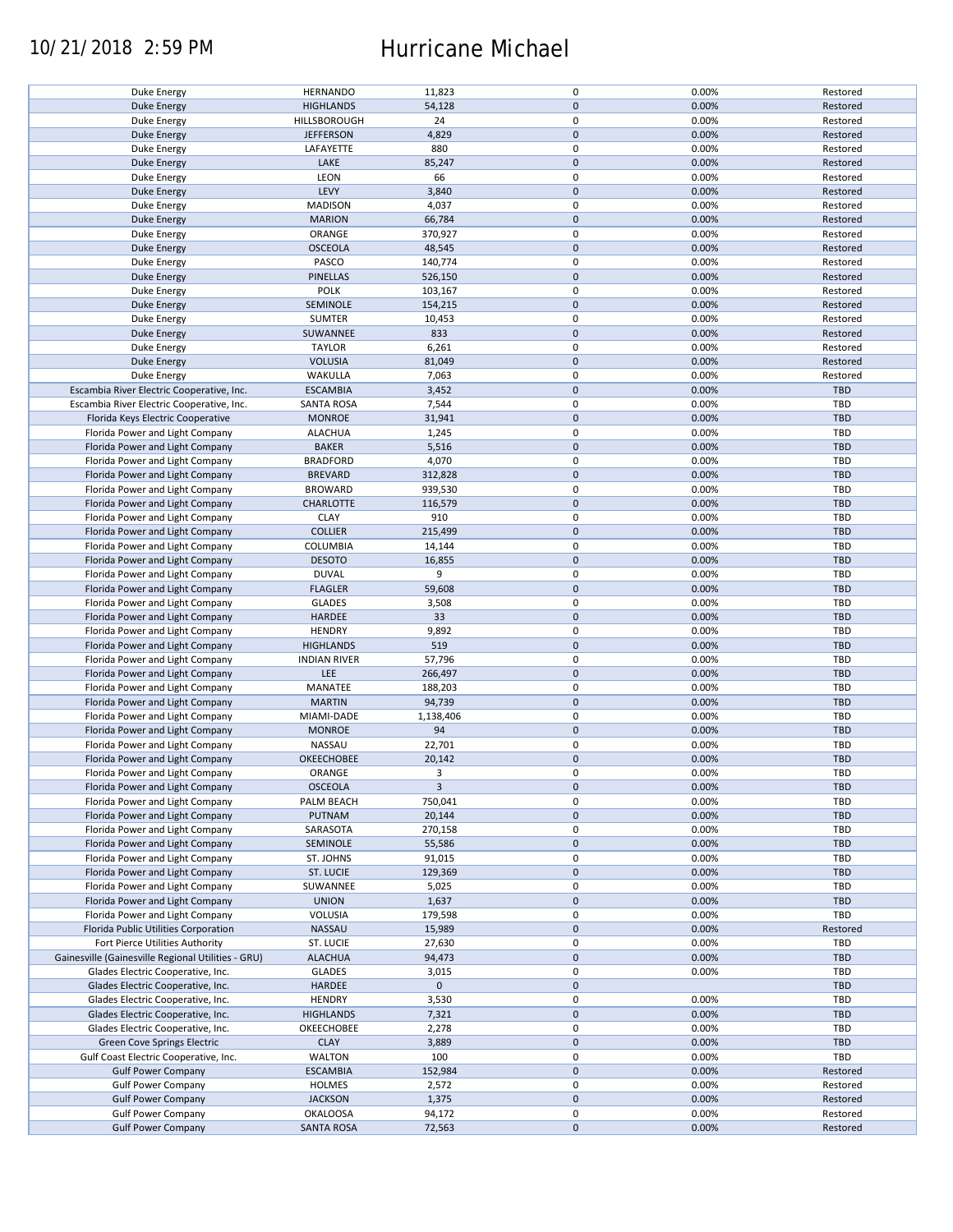### 10/21/2018 2:59 PM Hurricane Michael

| Duke Energy                                        | <b>HERNANDO</b>     | 11,823      | $\pmb{0}$   | 0.00% | Restored   |
|----------------------------------------------------|---------------------|-------------|-------------|-------|------------|
| <b>Duke Energy</b>                                 | <b>HIGHLANDS</b>    | 54,128      | $\mathbf 0$ | 0.00% | Restored   |
|                                                    |                     |             | 0           |       |            |
| Duke Energy                                        | HILLSBOROUGH        | 24          |             | 0.00% | Restored   |
| <b>Duke Energy</b>                                 | <b>JEFFERSON</b>    | 4,829       | $\mathbf 0$ | 0.00% | Restored   |
| Duke Energy                                        | LAFAYETTE           | 880         | 0           | 0.00% | Restored   |
|                                                    |                     |             |             |       |            |
| <b>Duke Energy</b>                                 | LAKE                | 85,247      | $\mathbf 0$ | 0.00% | Restored   |
| Duke Energy                                        | LEON                | 66          | $\mathbf 0$ | 0.00% | Restored   |
| <b>Duke Energy</b>                                 | LEVY                | 3,840       | $\mathbf 0$ | 0.00% | Restored   |
|                                                    |                     |             |             |       |            |
| Duke Energy                                        | <b>MADISON</b>      | 4,037       | 0           | 0.00% | Restored   |
| <b>Duke Energy</b>                                 | <b>MARION</b>       | 66,784      | $\mathbf 0$ | 0.00% | Restored   |
|                                                    |                     |             | $\mathbf 0$ |       |            |
| Duke Energy                                        | ORANGE              | 370,927     |             | 0.00% | Restored   |
| <b>Duke Energy</b>                                 | <b>OSCEOLA</b>      | 48,545      | $\mathbf 0$ | 0.00% | Restored   |
| Duke Energy                                        | PASCO               | 140,774     | 0           | 0.00% | Restored   |
|                                                    |                     |             |             |       |            |
| Duke Energy                                        | <b>PINELLAS</b>     | 526,150     | $\mathbf 0$ | 0.00% | Restored   |
| Duke Energy                                        | <b>POLK</b>         | 103,167     | 0           | 0.00% | Restored   |
| <b>Duke Energy</b>                                 | SEMINOLE            | 154,215     | $\mathbf 0$ | 0.00% | Restored   |
|                                                    |                     |             |             |       |            |
| Duke Energy                                        | SUMTER              | 10,453      | 0           | 0.00% | Restored   |
| <b>Duke Energy</b>                                 | SUWANNEE            | 833         | $\mathbf 0$ | 0.00% | Restored   |
|                                                    |                     |             | $\pmb{0}$   |       |            |
| Duke Energy                                        | <b>TAYLOR</b>       | 6,261       |             | 0.00% | Restored   |
| <b>Duke Energy</b>                                 | <b>VOLUSIA</b>      | 81,049      | $\mathbf 0$ | 0.00% | Restored   |
| Duke Energy                                        | WAKULLA             | 7,063       | $\pmb{0}$   | 0.00% | Restored   |
|                                                    |                     |             |             |       |            |
| Escambia River Electric Cooperative, Inc.          | <b>ESCAMBIA</b>     | 3,452       | $\pmb{0}$   | 0.00% | <b>TBD</b> |
| Escambia River Electric Cooperative, Inc.          | <b>SANTA ROSA</b>   | 7,544       | $\pmb{0}$   | 0.00% | <b>TBD</b> |
| Florida Keys Electric Cooperative                  | <b>MONROE</b>       | 31,941      | $\mathbf 0$ | 0.00% | <b>TBD</b> |
|                                                    |                     |             |             |       |            |
| Florida Power and Light Company                    | <b>ALACHUA</b>      | 1,245       | $\mathbf 0$ | 0.00% | <b>TBD</b> |
| Florida Power and Light Company                    | <b>BAKER</b>        | 5,516       | $\mathbf 0$ | 0.00% | TBD        |
|                                                    |                     |             |             |       |            |
| Florida Power and Light Company                    | <b>BRADFORD</b>     | 4,070       | $\mathbf 0$ | 0.00% | <b>TBD</b> |
| Florida Power and Light Company                    | <b>BREVARD</b>      | 312,828     | $\mathbf 0$ | 0.00% | <b>TBD</b> |
| Florida Power and Light Company                    | <b>BROWARD</b>      | 939,530     | $\mathbf 0$ | 0.00% | <b>TBD</b> |
|                                                    |                     |             |             |       |            |
| Florida Power and Light Company                    | <b>CHARLOTTE</b>    | 116,579     | $\mathbf 0$ | 0.00% | <b>TBD</b> |
| Florida Power and Light Company                    | <b>CLAY</b>         | 910         | $\mathbf 0$ | 0.00% | <b>TBD</b> |
| Florida Power and Light Company                    | <b>COLLIER</b>      | 215,499     | $\pmb{0}$   | 0.00% | TBD        |
|                                                    |                     |             |             |       |            |
| Florida Power and Light Company                    | <b>COLUMBIA</b>     | 14,144      | $\mathbf 0$ | 0.00% | TBD        |
| Florida Power and Light Company                    | <b>DESOTO</b>       | 16,855      | $\pmb{0}$   | 0.00% | <b>TBD</b> |
| Florida Power and Light Company                    | <b>DUVAL</b>        | 9           | $\mathbf 0$ | 0.00% | TBD        |
|                                                    |                     |             |             |       |            |
| Florida Power and Light Company                    | <b>FLAGLER</b>      | 59,608      | $\pmb{0}$   | 0.00% | <b>TBD</b> |
| Florida Power and Light Company                    | <b>GLADES</b>       | 3,508       | $\mathbf 0$ | 0.00% | <b>TBD</b> |
| Florida Power and Light Company                    | HARDEE              | 33          | $\mathbf 0$ | 0.00% | <b>TBD</b> |
|                                                    |                     |             |             |       |            |
| Florida Power and Light Company                    | <b>HENDRY</b>       | 9,892       | 0           | 0.00% | TBD        |
| Florida Power and Light Company                    | <b>HIGHLANDS</b>    | 519         | $\mathbf 0$ | 0.00% | <b>TBD</b> |
| Florida Power and Light Company                    | <b>INDIAN RIVER</b> | 57,796      | 0           | 0.00% | TBD        |
|                                                    |                     |             |             |       |            |
| Florida Power and Light Company                    | LEE                 | 266,497     | $\mathbf 0$ | 0.00% | <b>TBD</b> |
| Florida Power and Light Company                    | MANATEE             | 188,203     | $\pmb{0}$   | 0.00% | <b>TBD</b> |
| Florida Power and Light Company                    | <b>MARTIN</b>       | 94,739      | $\pmb{0}$   | 0.00% | <b>TBD</b> |
|                                                    |                     |             |             |       |            |
| Florida Power and Light Company                    | MIAMI-DADE          | 1,138,406   | $\pmb{0}$   | 0.00% | TBD        |
| Florida Power and Light Company                    | <b>MONROE</b>       | 94          | $\mathbf 0$ | 0.00% | <b>TBD</b> |
| Florida Power and Light Company                    | NASSAU              | 22,701      | $\pmb{0}$   | 0.00% | TBD        |
|                                                    |                     |             |             |       |            |
| Florida Power and Light Company                    | OKEECHOBEE          | 20,142      | $\mathbf 0$ | 0.00% | <b>TBD</b> |
| Florida Power and Light Company                    | ORANGE              | 3           | $\mathbf 0$ | 0.00% | <b>TBD</b> |
|                                                    |                     |             |             |       |            |
| Florida Power and Light Company                    | <b>OSCEOLA</b>      | 3           | $\mathbf 0$ | 0.00% | <b>TBD</b> |
| Florida Power and Light Company                    | PALM BEACH          | 750,041     | 0           | 0.00% | TBD        |
| Florida Power and Light Company                    | PUTNAM              | 20,144      | $\mathbf 0$ | 0.00% | <b>TBD</b> |
|                                                    |                     |             |             |       |            |
| Florida Power and Light Company                    | SARASOTA            | 270,158     | 0           | 0.00% | TBD        |
| Florida Power and Light Company                    | SEMINOLE            | 55,586      | $\mathbf 0$ | 0.00% | <b>TBD</b> |
| Florida Power and Light Company                    | ST. JOHNS           | 91,015      | 0           | 0.00% | TBD        |
|                                                    |                     |             |             |       |            |
| Florida Power and Light Company                    | ST. LUCIE           | 129,369     | $\pmb{0}$   | 0.00% | <b>TBD</b> |
| Florida Power and Light Company                    | SUWANNEE            | 5,025       | 0           | 0.00% | TBD        |
|                                                    |                     |             | $\pmb{0}$   | 0.00% | <b>TBD</b> |
| Florida Power and Light Company                    | <b>UNION</b>        | 1,637       |             |       |            |
| Florida Power and Light Company                    | VOLUSIA             | 179,598     | 0           | 0.00% | TBD        |
| Florida Public Utilities Corporation               | NASSAU              | 15,989      | $\pmb{0}$   | 0.00% | Restored   |
|                                                    |                     |             | 0           |       | TBD        |
| Fort Pierce Utilities Authority                    | ST. LUCIE           | 27,630      |             | 0.00% |            |
| Gainesville (Gainesville Regional Utilities - GRU) | <b>ALACHUA</b>      | 94,473      | 0           | 0.00% | TBD        |
| Glades Electric Cooperative, Inc.                  | <b>GLADES</b>       | 3,015       | 0           | 0.00% | TBD        |
|                                                    |                     |             | $\mathbf 0$ |       |            |
| Glades Electric Cooperative, Inc.                  | HARDEE              | $\mathbf 0$ |             |       | <b>TBD</b> |
| Glades Electric Cooperative, Inc.                  | <b>HENDRY</b>       | 3,530       | 0           | 0.00% | TBD        |
| Glades Electric Cooperative, Inc.                  | <b>HIGHLANDS</b>    | 7,321       | $\pmb{0}$   | 0.00% | <b>TBD</b> |
|                                                    |                     |             |             |       |            |
| Glades Electric Cooperative, Inc.                  | OKEECHOBEE          | 2,278       | 0           | 0.00% | TBD        |
| Green Cove Springs Electric                        | <b>CLAY</b>         | 3,889       | $\pmb{0}$   | 0.00% | TBD        |
| Gulf Coast Electric Cooperative, Inc.              | <b>WALTON</b>       | 100         | $\pmb{0}$   | 0.00% | TBD        |
|                                                    |                     |             |             |       |            |
| <b>Gulf Power Company</b>                          | <b>ESCAMBIA</b>     | 152,984     | $\pmb{0}$   | 0.00% | Restored   |
| <b>Gulf Power Company</b>                          | HOLMES              | 2,572       | 0           | 0.00% | Restored   |
| <b>Gulf Power Company</b>                          | <b>JACKSON</b>      | 1,375       | $\mathbf 0$ | 0.00% | Restored   |
|                                                    |                     |             |             |       |            |
| <b>Gulf Power Company</b>                          | <b>OKALOOSA</b>     | 94,172      | 0           | 0.00% | Restored   |
| <b>Gulf Power Company</b>                          | <b>SANTA ROSA</b>   | 72,563      | $\mathbf 0$ | 0.00% | Restored   |
|                                                    |                     |             |             |       |            |